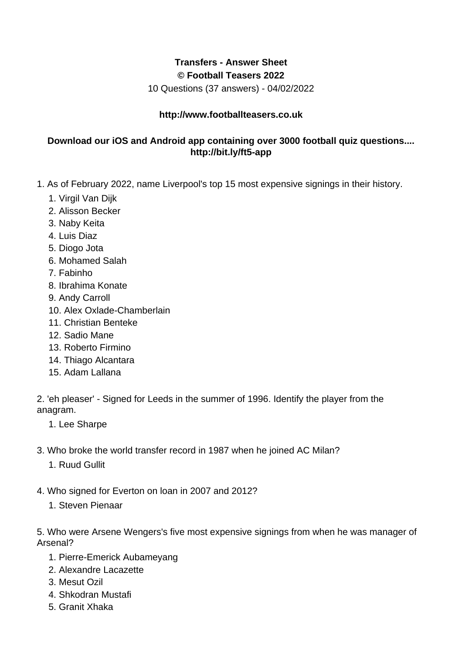## **Transfers - Answer Sheet © Football Teasers 2022**

10 Questions (37 answers) - 04/02/2022

## **http://www.footballteasers.co.uk**

## **Download our iOS and Android app containing over 3000 football quiz questions.... http://bit.ly/ft5-app**

- 1. As of February 2022, name Liverpool's top 15 most expensive signings in their history.
	- 1. Virgil Van Dijk
	- 2. Alisson Becker
	- 3. Naby Keita
	- 4. Luis Diaz
	- 5. Diogo Jota
	- 6. Mohamed Salah
	- 7. Fabinho
	- 8. Ibrahima Konate
	- 9. Andy Carroll
	- 10. Alex Oxlade-Chamberlain
	- 11. Christian Benteke
	- 12. Sadio Mane
	- 13. Roberto Firmino
	- 14. Thiago Alcantara
	- 15. Adam Lallana

2. 'eh pleaser' - Signed for Leeds in the summer of 1996. Identify the player from the anagram.

- 1. Lee Sharpe
- 3. Who broke the world transfer record in 1987 when he joined AC Milan?
	- 1. Ruud Gullit
- 4. Who signed for Everton on loan in 2007 and 2012?
	- 1. Steven Pienaar

5. Who were Arsene Wengers's five most expensive signings from when he was manager of Arsenal?

- 1. Pierre-Emerick Aubameyang
- 2. Alexandre Lacazette
- 3. Mesut Ozil
- 4. Shkodran Mustafi
- 5. Granit Xhaka